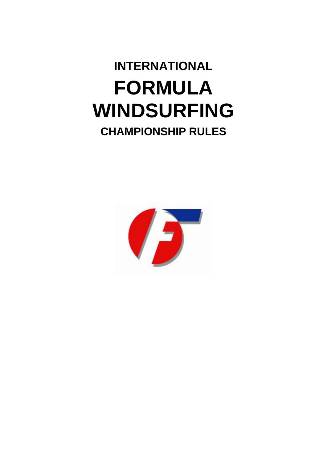# **INTERNATIONAL FORMULA WINDSURFING CHAMPIONSHIP RULES**

# 7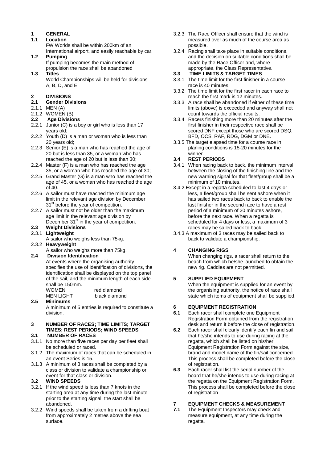### **1 GENERAL**

- **1.1 Location**  FW Worlds shall be within 200km of an International airport, and easily reachable by car.
- **1.2 Pumping** If pumping becomes the main method of
- propulsion the race shall be abandoned **1.3 Titles**

World Championships will be held for divisions A, B, D, and E.

#### **2 DIVISIONS**

- **2.1 Gender Divisions**
- 2.1.1 MEN (A)
- 2.1.2 WOMEN (B)
- **2.2 Age Divisions**
- 2.2.1 Junior (C) is a boy or girl who is less than 17 years old;
- 2.2.2 Youth (D) is a man or woman who is less than 20 years old;
- 2.2.3 Senior (E) is a man who has reached the age of 20 but is less than 35, or a woman who has reached the age of 20 but is less than 30;
- 2.2.4 Master (F) is a man who has reached the age 35, or a woman who has reached the age of 30;
- 2.2.5 Grand Master (G) is a man who has reached the age of 45, or a woman who has reached the age of 40.
- 2.2.6 A sailor must have reached the minimum age limit in the relevant age division by December 31<sup>st</sup> before the year of competition.
- 2.2.7 A sailor must not be older than the maximum age limit in the relevant age division by December 31<sup>st</sup> in the year of competition.

#### **2.3 Weight Divisions**

- 2.3.1 **Lightweight**
- A sailor who weighs less than 75kg.
- 2.3.2 **Heavyweight**
	- A sailor who weighs more than 75kg.

#### **2.4 Division Identification**

At events where the organising authority specifies the use of identification of divisions, the identification shall be displayed on the top panel of the sail, and the minimum length of each side shall be 150mm.<br>WOMEN rod diamond

| $VV = VV - VV$ | TCU URITIVITU |
|----------------|---------------|
| MEN LIGHT      | black diamond |
| .              |               |

#### **2.5 Minimums**  A minimum of 5 entries is required to constitute a division.

#### **3 NUMBER OF RACES; TIME LIMITS; TARGET TIMES; REST PERIODS; WIND SPEEDS**

#### **3.1 NUMBER OF RACES**

- 3.1.1 No more than **five** races per day per fleet shall be scheduled or raced.
- 3.1.2 The maximum of races that can be scheduled in an event Series is 15.
- 3.1.3 A minimum of 3 races shall be completed by a class or division to validate a championship or event for that class or division.

#### **3.2 WIND SPEEDS**

- 3.2.1 If the wind speed is less than 7 knots in the starting area at any time during the last minute prior to the starting signal, the start shall be abandoned.
- 3.2.2 Wind speeds shall be taken from a drifting boat from approximately 2 metres above the sea surface.
- 3.2.3 The Race Officer shall ensure that the wind is measured over as much of the course area as possible.
- 3.2.4 Racing shall take place in suitable conditions, and the decision on suitable conditions shall be made by the Race Officer and, where appropriate, the Class Representative.
- **3.3 TIME LIMITS & TARGET TIMES**
- 3.3.1 The time limit for the first finisher in a course race is 40 minutes.
- 3.3.2 The time limit for the first racer in each race to reach the first mark is 12 minutes.
- 3.3.3 A race shall be abandoned if either of these time limits (above) is exceeded and anyway shall not count towards the official results.
- 3.3.4 Racers finishing more than 20 minutes after the first finisher in their respective race shall be scored DNF except those who are scored DSQ, BFD, OCS, RAF, RDG, DGM or DNE.
- 3.3.5 The target elapsed time for a course race in planing conditions is 15-20 minutes for the winner.

#### **3.4 REST PERIODS**

- 3.4.1 When racing back to back, the minimum interval between the closing of the finishing line and the new warning signal for that fleet/group shall be a minimum of 10 minutes.
- 3.4.2 Except in a regatta scheduled to last 4 days or less, a fleet/group shall be sent ashore when it has sailed two races back to back to enable the last finisher in the second race to have a rest period of a minimum of 20 minutes ashore, before the next race. When a regatta is scheduled for 4 days or less, a maximum of 3 races may be sailed back to back.
- 3.4.3 A maximum of 3 races may be sailed back to back to validate a championship.

#### **4 CHANGING RIGS**

When changing rigs, a racer shall return to the beach from which he/she launched to obtain the new rig. Caddies are not permitted.

#### **5 SUPPLIED EQUIPMENT**

When the equipment is supplied for an event by the organising authority, the notice of race shall state which items of equipment shall be supplied.

# **6 EQUIPMENT REGISTRATION**

- **6.1** Each racer shall complete one Equipment Registration Form obtained from the registration desk and return it before the close of registration.
- **6.2** Each racer shall clearly identify each fin and sail that he/she intends to use during racing at the regatta, which shall be listed on his/her Equipment Registration Form against the size, brand and model name of the fin/sail concerned. This process shall be completed before the close of registration.
- **6.3** Each racer shall list the serial number of the board that he/she intends to use during racing at the regatta on the Equipment Registration Form. This process shall be completed before the close of registration

## **7 EQUIPMENT CHECKS & MEASUREMENT**<br>**7.1** The Faujoment Inspectors may check and

**7.1** The Equipment Inspectors may check and measure equipment, at any time during the regatta.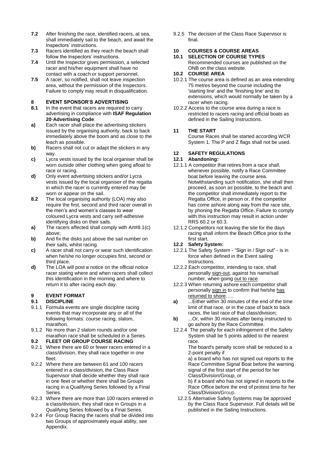- **7.2** After finishing the race, identified racers, at sea, shall immediately sail to the beach, and await the Inspectors' instructions.
- **7.3** Racers identified as they reach the beach shall follow the Inspectors' instructions.
- **7.4** Until the Inspector gives permission, a selected racer and his/her equipment shall have no contact with a coach or support personnel.
- **7.5** A racer, so notified, shall not leave inspection area, without the permission of the Inspectors. Failure to comply may result in disqualification.

#### **8 EVENT SPONSOR'S ADVERTISING**

- **8.1** In the event that racers are required to carry advertising in compliance with **ISAF Regulation 20**-**Advertising Code**:
- **a)** Each racer shall place the advertising stickers issued by the organising authority, back to back immediately above the boom and as close to the leach as possible.
- **b)** Racers shall not cut or adapt the stickers in any way.
- **c)** Lycra vests issued by the local organiser shall be worn outside other clothing when going afloat to race or racing.
- **d)** Only event advertising stickers and/or Lycra vests issued by the local organiser of the regatta in which the racer is currently entered may be worn or appear on the sail.
- **8.2** The local organising authority (LOA) may also require the first, second and third racer overall in the men's and women's classes to wear coloured Lycra vests and carry self-adhesive identifying disks on their sails.
- **a)** The racers affected shall comply with Art#8.1(c) above;
- **b)** And fix the disks just above the sail number on their sails, whilst racing.
- **c)** A racer shall not carry or wear such identification when he/she no longer occupies first, second or third place.
- **d)** The LOA will post a notice on the official notice racer stating where and when racers shall collect this identification in the morning and where to return it to after racing each day.

#### **9 EVENT FORMAT**

#### **9.1 DISCIPLINE**

- 9.1.1 Formula events are single discipline racing events that may incorporate any or all of the following formats: course racing, slalom, marathon.
- 9.1.2 No more than 2 slalom rounds and/or one marathon race shall be scheduled in a Series.

#### **9.2 FLEET OR GROUP COURSE RACING**

- 9.2.1 Where there are 60 or fewer racers entered in a class/division, they shall race together in one fleet.
- 9.2.2 Where there are between 61 and 100 racers entered in a class/division, the Class Race Supervisor shall decide whether they shall race in one fleet or whether there shall be Groups racing in a Qualifying Series followed by a Final Series.
- 9.2.3 Where there are more than 100 racers entered in a class/division, they shall race in Groups in a Qualifying Series followed by a Final Series.
- 9.2.4 For Group Racing the racers shall be divided into two Groups of approximately equal ability, see Appendix.

9.2.5 The decision of the Class Race Supervisor is final.

# **10 COURSES & COURSE AREAS**

**10.1 SELECTION OF COURSE TYPES** Recommended courses are published on the ONB on the class website.

#### **10.2 COURSE AREA**

- 10.2.1 The course area is defined as an area extending 75 metres beyond the course including the 'starting line' and the 'finishing line' and its extensions, which would normally be taken by a racer when racing.
- 10.2.2 Access to the course area during a race is restricted to racers racing and official boats as defined in the Sailing Instructions.

#### **11 THE START**

Course Races shall be started according WCR System 1. The P and Z flags shall not be used.

#### **12 SAFETY REGULATIONS**

#### **12.1 Abandoning:**

- 12.1.1 A competitor that retires from a race shall, whenever possible, notify a Race Committee boat before leaving the course area. Notwithstanding such notification, she shall then proceed, as soon as possible, to the beach and the competitor shall immediately report to the Regatta Office, in person or, if the competitor has come ashore along way from the race site, by phoning the Regatta Office. Failure to comply with this instruction may result in action under RRS 60.2 or 60.3.
- 12.1.2 Competitors not leaving the site for the days racing shall inform the Beach Office prior to the first start.
- **12.2 Safety System:**
- 12.2.1 The Safety System "Sign in / Sign out" is in force when defined in the Event sailing Instructions.
- 12.2.2 Each competitor, intending to race, shall personally sign-out, against his name/sail number, when going out to race.
- 12.2.3 When returning ashore each competitor shall personally sign in to confirm that he/she has returned to shore…..
- **a)** ...Either within 30 minutes of the end of the time limit of that race, or in the case of back to back races, the last race of that class/division;
- **b)** ...Or, within 30 minutes after being instructed to go ashore by the Race Committee.
- 12.2.4 The penalty for each infringement of the Safety System shall be 5 points added to the nearest race.

 The board's penalty score shall be reduced to a 2-point penalty if

a) a board who has not signed out reports to the Race Committee Signal Boat before the warning signal of the first start of the period for her Class/Division/Group, or

b) if a board who has not signed in reports to the Race Office before the end of protest time for her Class/Division/Group.

 12.2.5 Alternative Safety Systems may be approved by the Class Race Supervisor. Full details will be published in the Sailing Instructions.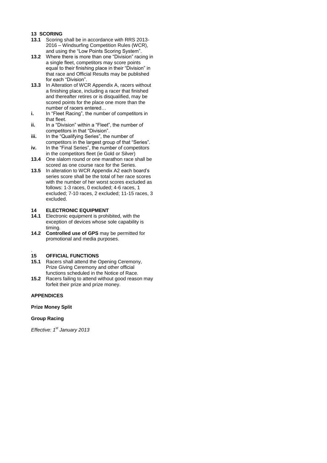#### **13 SCORING**

- **13.1** Scoring shall be in accordance with RRS 2013- 2016 – Windsurfing Competition Rules (WCR), and using the "Low Points Scoring System".
- **13.2** Where there is more than one "Division" racing in a single fleet, competitors may score points equal to their finishing place in their "Division" in that race and Official Results may be published for each "Division".
- **13.3** In Alteration of WCR Appendix A, racers without a finishing place, including a racer that finished and thereafter retires or is disqualified, may be scored points for the place one more than the number of racers entered…
- **i.** In "Fleet Racing", the number of competitors in that fleet.
- **ii.** In a "Division" within a "Fleet", the number of competitors in that "Division".
- **iii.** In the "Qualifying Series", the number of competitors in the largest group of that "Series".
- iv. In the "Final Series", the number of competitors in the competitors fleet (ie Gold or Silver)
- **13.4** One slalom round or one marathon race shall be scored as one course race for the Series.
- **13.5** In alteration to WCR Appendix A2 each board's series score shall be the total of her race scores with the number of her worst scores excluded as follows: 1-3 races, 0 excluded; 4-6 races, 1 excluded; 7-10 races, 2 excluded; 11-15 races, 3 excluded.

#### **14 ELECTRONIC EQUIPMENT**

- **14.1** Electronic equipment is prohibited, with the exception of devices whose sole capability is timing.
- **14.2 Controlled use of GPS** may be permitted for promotional and media purposes.

#### . **15 OFFICIAL FUNCTIONS**

- **15.1** Racers shall attend the Opening Ceremony, Prize Giving Ceremony and other official functions scheduled in the Notice of Race.
- **15.2** Racers failing to attend without good reason may forfeit their prize and prize money.

#### **APPENDICES**

#### **Prize Money Split**

#### **Group Racing**

*Effective: 1st January 2013*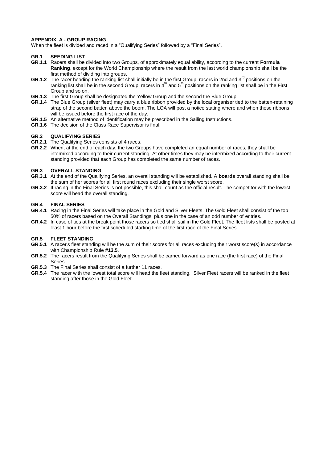#### **APPENDIX A - GROUP RACING**

When the fleet is divided and raced in a "Qualifying Series" followed by a "Final Series".

#### **GR.1 SEEDING LIST**

- **GR.1.1** Racers shall be divided into two Groups, of approximately equal ability, according to the current **Formula Ranking**, except for the World Championship where the result from the last world championship shall be the first method of dividing into groups.
- **GR.1.2** The racer heading the ranking list shall initially be in the first Group, racers in 2nd and 3<sup>rd</sup> positions on the ranking list shall be in the second Group, racers in  $4<sup>th</sup>$  and  $5<sup>th</sup>$  positions on the ranking list shall be in the First Group and so on.
- **GR.1.3** The first Group shall be designated the Yellow Group and the second the Blue Group.
- **GR.1.4** The Blue Group (silver fleet) may carry a blue ribbon provided by the local organiser tied to the batten-retaining strap of the second batten above the boom. The LOA will post a notice stating where and when these ribbons will be issued before the first race of the day.
- **GR.1.5** An alternative method of identification may be prescribed in the Sailing Instructions.
- **GR.1.6** The decision of the Class Race Supervisor is final.

#### **GR.2 QUALIFYING SERIES**

- **GR.2.1** The Qualifying Series consists of 4 races.
- **GR.2.2** When, at the end of each day, the two Groups have completed an equal number of races, they shall be intermixed according to their current standing. At other times they may be intermixed according to their current standing provided that each Group has completed the same number of races.

#### **GR.3 OVERALL STANDING**

- **GR.3.1** At the end of the Qualifying Series, an overall standing will be established. A **boards** overall standing shall be the sum of her scores for all first round races excluding their single worst score.
- **GR.3.2** If racing in the Final Series is not possible, this shall count as the official result. The competitor with the lowest score will head the overall standing.

#### **GR.4 FINAL SERIES**

- **GR.4.1** Racing in the Final Series will take place in the Gold and Silver Fleets. The Gold Fleet shall consist of the top 50% of racers based on the Overall Standings, plus one in the case of an odd number of entries.
- **GR.4.2** In case of ties at the break point those racers so tied shall sail in the Gold Fleet. The fleet lists shall be posted at least 1 hour before the first scheduled starting time of the first race of the Final Series.

#### **GR.5 FLEET STANDING**

- GR.5.1 A racer's fleet standing will be the sum of their scores for all races excluding their worst score(s) in accordance with Championship Rule **#13.5**.
- **GR.5.2** The racers result from the Qualifying Series shall be carried forward as one race (the first race) of the Final Series.
- **GR.5.3** The Final Series shall consist of a further 11 races.
- **GR.5.4** The racer with the lowest total score will head the fleet standing. Silver Fleet racers will be ranked in the fleet standing after those in the Gold Fleet.